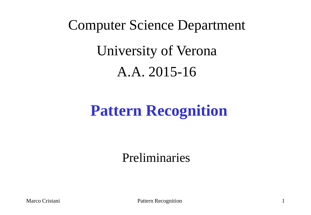# Computer Science Department University of Verona A.A. 2015-16

## **Pattern Recognition**

Preliminaries

Marco Cristani Pattern Recognition 1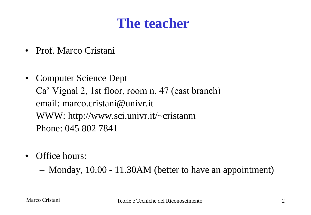### **The teacher**

- Prof. Marco Cristani
- Computer Science Dept Ca' Vignal 2, 1st floor, room n. 47 (east branch) email: marco.cristani@univr.it WWW: http://www.sci.univr.it/~cristanm Phone: 045 802 7841
- Office hours:
	- Monday, 10.00 11.30AM (better to have an appointment)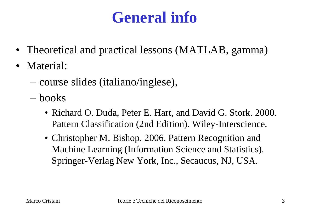# **General info**

- Theoretical and practical lessons (MATLAB, gamma)
- Material:
	- course slides (italiano/inglese),
	- books
		- Richard O. Duda, Peter E. Hart, and David G. Stork. 2000. Pattern Classification (2nd Edition). Wiley-Interscience.
		- Christopher M. Bishop. 2006. Pattern Recognition and Machine Learning (Information Science and Statistics). Springer-Verlag New York, Inc., Secaucus, NJ, USA.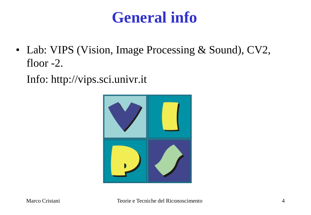### **General info**

• Lab: VIPS (Vision, Image Processing & Sound), CV2, floor -2.

Info: http://vips.sci.univr.it

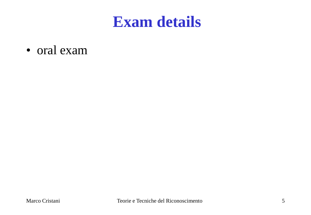### **Exam details**

• oral exam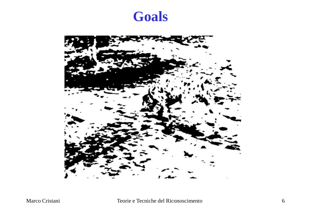

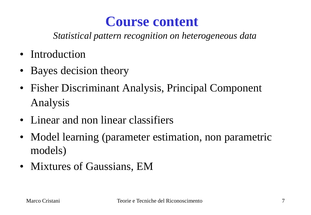#### **Course content**

*Statistical pattern recognition on heterogeneous data*

- Introduction
- Bayes decision theory
- Fisher Discriminant Analysis, Principal Component Analysis
- Linear and non linear classifiers
- Model learning (parameter estimation, non parametric models)
- Mixtures of Gaussians, EM